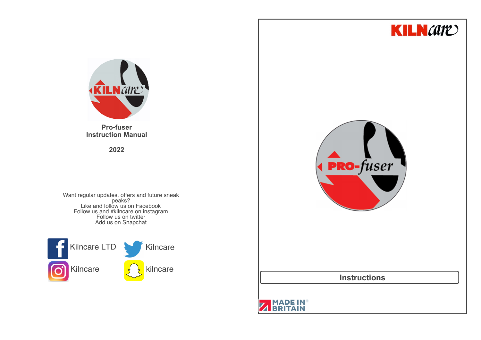



**Pro-fuser Instruction Manual**

**2022**

Want regular updates, offers and future sneak<br>
peaks?<br>
Like and follow us on Facebook<br>
Follow us and #kilncare on instagram<br>
Follow us on twitter Add us on Snapchat





**Instructions**

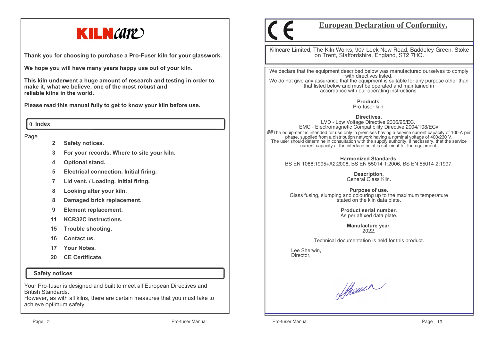

**Thank you for choosing to purchase a Pro-Fuser kiln for your glasswork.**

**We hope you will have many years happy use out of your kiln.** 

**This kiln underwent a huge amount of research and testing in order to make it, what we believe, one of the most robust and reliable kilns in the world.**

**Please read this manual fully to get to know your kiln before use.**

#### 0 **Index**

#### Page

- **2Safety notices.**
- **3For your records. Where to site your kiln.**
- **4Optional stand.**
- **5Electrical connection. Initial firing.**
- **7Lid vent. / Loading. Initial firing.**
- **8Looking after your kiln.**
- **8Damaged brick replacement.**
- **9Element replacement.**
- **11KCR32C instructions.**
- **15Trouble shooting.**
- **16Contact us.**
- **17Your Notes.**
- **20 CE Certificate.**

#### **Safety notices**

Your Pro-fuser is designed and built to meet all European Directives and British Standards.

 However, as with all kilns, there are certain measures that you must take to achieve optimum safety.

# **European Declaration of Conformity.**

Kilncare Limited, The Kiln Works, 907 Leek New Road, Baddeley Green, Stoke on Trent, Staffordshire, England, ST2 7HQ.

We declare that the equipment described below was manufactured ourselves to comply with directives listed. We do not give any assurance that the equipment is suitable for any purpose other than that listed below and must be operated and maintained in accordance with our operating instructions.

> **Products.**Pro-fuser kiln.

**Directives.**

 LVD - Low Voltage Directive 2006/95/EC. EMC - Electromagnetic Compatibility Directive 2004/108/EC# $\# \#$ The equipment is intended for use only in premises having a service current capacity of 100 A per phase, supplied from a distribution network having a nominal voltage of 400/230 V,<br>The user should determine in consultation with the supply authority, if necessary, that the service<br>current capacity at the interface point

**Harmonized Standards.**BS EN 1088:1995+A2:2008, BS EN 55014-1:2006, BS EN 55014-2:1997.

> **Description.** General Glass Kiln.

**Purpose of use.** Glass fusing, slumping and colouring up to the maximum temperature stated on the kiln data plate.

> **Product serial number.**As per affixed data plate.

> > **Manufacture year.**2022.

Technical documentation is held for this product.

 Lee Sherwin,Director,

Sthauer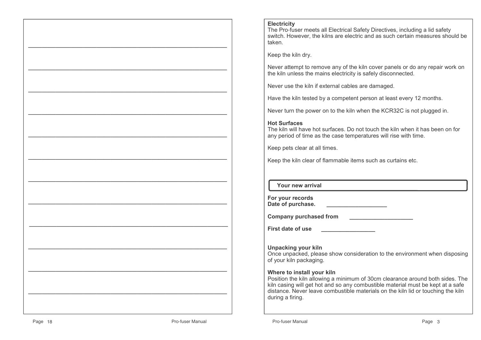#### **Electricity**

 The Pro-fuser meets all Electrical Safety Directives, including a lid safety switch. However, the kilns are electric and as such certain measures should be taken.

Keep the kiln dry.

Never attempt to remove any of the kiln cover panels or do any repair work on the kiln unless the mains electricity is safely disconnected.

Never use the kiln if external cables are damaged.

Have the kiln tested by a competent person at least every 12 months.

Never turn the power on to the kiln when the KCR32C is not plugged in.

#### **Hot Surfaces**

 The kiln will have hot surfaces. Do not touch the kiln when it has been on for any period of time as the case temperatures will rise with time.

Keep pets clear at all times.

Keep the kiln clear of flammable items such as curtains etc.

#### **Your new arrival**

| For your records  |  |
|-------------------|--|
| Date of purchase. |  |

**Company purchased from \_\_\_\_\_\_\_\_\_\_\_\_\_\_\_\_\_\_\_\_**

**First date of use \_\_\_\_\_\_\_\_\_\_\_\_\_\_\_\_\_**

**Unpacking your kiln** Once unpacked, please show consideration to the environment when disposing of your kiln packaging.

#### **Where to install your kiln**

 Position the kiln allowing a minimum of 30cm clearance around both sides. The kiln casing will get hot and so any combustible material must be kept at a safe distance. Never leave combustible materials on the kiln lid or touching the kiln during a firing.

—————————————————————————————

 $\mathcal{L}=\{x_1,\ldots,x_n\}$  , we can assume that  $\mathcal{L}=\{x_1,\ldots,x_n\}$  , we can assume that  $\mathcal{L}=\{x_1,\ldots,x_n\}$ 

—————————————————————————————

 $\mathcal{L}=\{x_1,\ldots,x_n\}$  , we can assume that  $\mathcal{L}=\{x_1,\ldots,x_n\}$  , we can assume that  $\mathcal{L}=\{x_1,\ldots,x_n\}$ 

—————————————————————————————

 $\mathcal{L}=\{x_1,\ldots,x_n\}$  , we can assume that  $\mathcal{L}=\{x_1,\ldots,x_n\}$  , we can assume that  $\mathcal{L}=\{x_1,\ldots,x_n\}$ 

—————————————————————————————

 $\mathcal{L}=\{x_1,\ldots,x_n\}$  , we can assume that  $\mathcal{L}=\{x_1,\ldots,x_n\}$  , we can assume that  $\mathcal{L}=\{x_1,\ldots,x_n\}$ 

—————————————————————————————

 $\mathcal{L}=\{x_1,\ldots,x_n\}$  , we can assume that  $\mathcal{L}=\{x_1,\ldots,x_n\}$  , we can assume that  $\mathcal{L}=\{x_1,\ldots,x_n\}$ 

—————————————————————————————

 $\mathcal{L}=\{x_1,\ldots,x_n\}$  , we can assume that  $\mathcal{L}=\{x_1,\ldots,x_n\}$  , we can assume that  $\mathcal{L}=\{x_1,\ldots,x_n\}$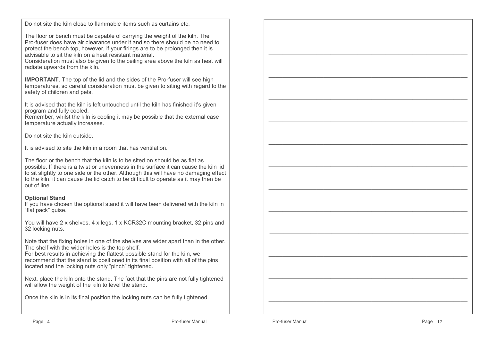Do not site the kiln close to flammable items such as curtains etc.

The floor or bench must be capable of carrying the weight of the kiln. The Pro-fuser does have air clearance under it and so there should be no need to protect the bench top, however, if your firings are to be prolonged then it is advisable to sit the kiln on a heat resistant material.

 Consideration must also be given to the ceiling area above the kiln as heat will radiate upwards from the kiln.

I**MPORTANT**. The top of the lid and the sides of the Pro-fuser will see high temperatures, so careful consideration must be given to siting with regard to the safety of children and pets.

It is advised that the kiln is left untouched until the kiln has finished it's given program and fully cooled.

 Remember, whilst the kiln is cooling it may be possible that the external case temperature actually increases.

Do not site the kiln outside.

It is advised to site the kiln in a room that has ventilation.

The floor or the bench that the kiln is to be sited on should be as flat as possible. If there is a twist or unevenness in the surface it can cause the kiln lid to sit slightly to one side or the other. Although this will have no damaging effect to the kiln, it can cause the lid catch to be difficult to operate as it may then be out of line.

### **Optional Stand**

 If you have chosen the optional stand it will have been delivered with the kiln in "flat pack" guise.

You will have 2 x shelves, 4 x legs, 1 x KCR32C mounting bracket, 32 pins and 32 locking nuts.

Note that the fixing holes in one of the shelves are wider apart than in the other. The shelf with the wider holes is the top shelf.

 For best results in achieving the flattest possible stand for the kiln, we recommend that the stand is positioned in its final position with all of the pins located and the locking nuts only "pinch" tightened.

Next, place the kiln onto the stand. The fact that the pins are not fully tightened will allow the weight of the kiln to level the stand.

Once the kiln is in its final position the locking nuts can be fully tightened.

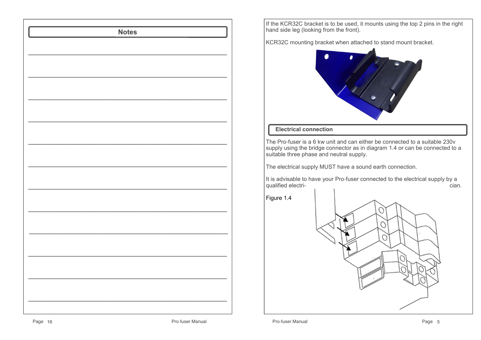

If the KCR32C bracket is to be used, it mounts using the top 2 pins in the right hand side leg (looking from the front).

KCR32C mounting bracket when attached to stand mount bracket.



# **Electrical connection**

The Pro-fuser is a 6 kw unit and can either be connected to a suitable 230v supply using the bridge connector as in diagram 1.4 or can be connected to a suitable three phase and neutral supply.

The electrical supply MUST have a sound earth connection.

It is advisable to have your Pro-fuser connected to the electrical supply by a cian. qualified electri-- Cian.<br>The contract of the contract of the contract of the contract of the contract of the contract of the contract o

Figure 1.4

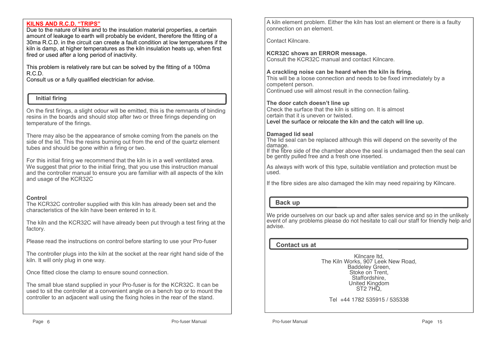#### **KILNS AND R.C.D. "TRIPS"**

 Due to the nature of kilns and to the insulation material properties, a certain amount of leakage to earth will probably be evident, therefore the fitting of a 30ma R.C.D. in the circuit can create a fault condition at low temperatures if the kiln is damp, at higher temperatures as the kiln insulation heats up, when first fired or used after a long period of inactivity.

This problem is relatively rare but can be solved by the fitting of a 100ma R.C.D.

Consult us or a fully qualified electrician for advise.

# **Initial firing**

On the first firings, a slight odour will be emitted, this is the remnants of binding resins in the boards and should stop after two or three firings depending on temperature of the firings.

There may also be the appearance of smoke coming from the panels on the side of the lid. This the resins burning out from the end of the quartz element tubes and should be gone within a firing or two.

For this initial firing we recommend that the kiln is in a well ventilated area. We suggest that prior to the initial firing, that you use this instruction manual and the controller manual to ensure you are familiar with all aspects of the kiln and usage of the KCR32C

### **Control**

 The KCR32C controller supplied with this kiln has already been set and the characteristics of the kiln have been entered in to it.

The kiln and the KCR32C will have already been put through a test firing at the factory.

Please read the instructions on control before starting to use your Pro-fuser

The controller plugs into the kiln at the socket at the rear right hand side of the kiln. It will only plug in one way.

Once fitted close the clamp to ensure sound connection.

The small blue stand supplied in your Pro-fuser is for the KCR32C. It can be used to sit the controller at a convenient angle on a bench top or to mount the controller to an adjacent wall using the fixing holes in the rear of the stand.

A kiln element problem. Either the kiln has lost an element or there is a faulty connection on an element.

Contact Kilncare.

**KCR32C shows an ERROR message.**Consult the KCR32C manual and contact Kilncare.

#### **A crackling noise can be heard when the kiln is firing.**

 This will be a loose connection and needs to be fixed immediately by a competent person.Continued use will almost result in the connection failing.

#### **The door catch doesn't line up**

 Check the surface that the kiln is sitting on. It is almost certain that it is uneven or twisted.Level the surface or relocate the kiln and the catch will line up.

#### **Damaged lid seal**

 The lid seal can be replaced although this will depend on the severity of the damage.

 If the fibre side of the chamber above the seal is undamaged then the seal can be gently pulled free and a fresh one inserted.

As always with work of this type, suitable ventilation and protection must be used.

If the fibre sides are also damaged the kiln may need repairing by Kilncare.

# **Back up**

We pride ourselves on our back up and after sales service and so in the unlikely event of any problems please do not hesitate to call our staff for friendly help and advise.

### **Contact us at**

Kilncare ltd, The Kiln Works, 907 Leek New Road, Baddeley Green, Stoke on Trent, Staffordshire,United Kingdom<br>ST2 7HQ,

Tel +44 1782 535915 / 535338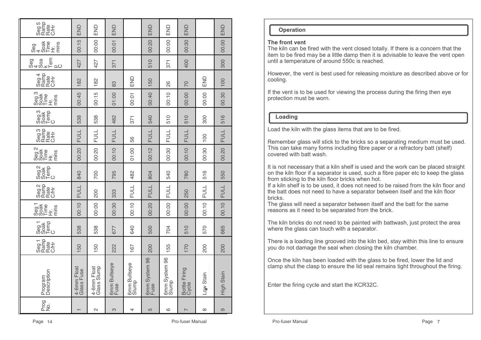| Prog<br>No.       | Program<br>Description     | Seg 1<br>Rafe<br>CH<br>CH<br>CH | Temp<br>C<br>Seg <sub>1</sub> | Seg1<br>Soak<br>Time<br>.<br>도를<br>도 | Seg 2<br>Rate<br>CH<br>OC<br>OC | Seg <sub>2</sub><br>Temp<br>C | Seg <sub>2</sub><br>Soak<br>Time<br>mins<br>)<br>土 | Seg 3<br>Rafte<br>CAT<br>CAT | Seg <sub>3</sub><br>Soak<br>Temp<br>C | goa<br>Boare<br>Sophic<br>Sophic | Seg 4<br>Ramp<br>C/H<br>C/H | യ <sup>മ</sup> ില<br>കാ∝ിലെ | Time<br>$343$<br>Soak<br>mins<br>$\dot{\pm}$ | Seg 5<br>Rate<br>CH<br>CH<br>CH |
|-------------------|----------------------------|---------------------------------|-------------------------------|--------------------------------------|---------------------------------|-------------------------------|----------------------------------------------------|------------------------------|---------------------------------------|----------------------------------|-----------------------------|-----------------------------|----------------------------------------------|---------------------------------|
|                   | 4-6mm Float<br>Glass Fuse  | 150                             | 538                           | 00:10                                | <b>FULL</b>                     | 840                           | 00:20                                              | <b>FULL</b>                  | 538                                   | 00:45                            | 182                         | 427                         | 00:15                                        | END                             |
| $\mathbf{\Omega}$ | 4-6mm Float<br>Glass Slump | 50                              | 538                           | 00:00                                | 200                             | 700                           | 00:20                                              | FULL                         | 538                                   | 00:15                            | 182                         | 427                         | 00:00                                        | END                             |
| 3                 | 6mm Bullseye<br>Fuse       | 222                             | 677                           | 00:30                                | 333                             | 795                           | 00:10                                              | <b>FULL</b>                  | 482                                   | 01:00                            | 83                          | 371                         | 00:01                                        | END                             |
| 4                 | 6mm Bullseye<br>Slump      | 167                             | 640                           | 00:10                                | <b>FULL</b>                     | 482                           | 01:00                                              | 56                           | 371                                   | 00:01                            | END                         |                             |                                              |                                 |
| 5                 | 6mm System 96<br>Fuse      | 200                             | 500                           | 00:20                                | <b>FULL</b>                     | 804                           | 00:12                                              | <b>FULL</b>                  | 540                                   | 00:40                            | 150                         | 510                         | 00:20                                        | END                             |
| ဖ                 | 6mm System 96<br>Slump     | 155                             | 704                           | 00:00                                | FULL                            | 540                           | 00:30                                              | FULL                         | 510                                   | 00:10                            | 86                          | 371                         | 00:00                                        | END                             |
| $\overline{ }$    | Bottle Firing<br>Cycle     | 170                             | 510                           | 00:00                                | 250                             | 780                           | 00:10                                              | <b>FULL</b>                  | 510                                   | 00:00                            | 20                          | 400                         | 00:30                                        | END                             |
| $\infty$          | Low Stain                  | 200                             | 570                           | 00:10                                | FULL                            | 516                           | 00:30                                              | $\overline{00}$              | 300                                   | 00:00                            | END                         |                             |                                              |                                 |
| ၜ                 | High Stain                 | 200                             | 665                           | 00.10                                | <b>FULL</b>                     | 550                           | 00.20                                              | <b>FULL</b>                  | 516                                   | 00.30                            | 100                         | 300                         | 00.00                                        | END                             |

#### **Operation**

#### **The front vent**

 The kiln can be fired with the vent closed totally. If there is a concern that the item to be fired may be a little damp then it is advisable to leave the vent open until a temperature of around 550c is reached.

However, the vent is best used for releasing moisture as described above or for cooling.

If the vent is to be used for viewing the process during the firing then eye protection must be worn.

### **Loading**

Load the kiln with the glass items that are to be fired.

Remember glass will stick to the bricks so a separating medium must be used. This can take many forms including fibre paper or a refractory batt (shelf) covered with batt wash.

It is not necessary that a kiln shelf is used and the work can be placed straight on the kiln floor if a separator is used, such a fibre paper etc to keep the glass from sticking to the kiln floor bricks when hot.

 If a kiln shelf is to be used, it does not need to be raised from the kiln floor and the batt does not need to have a separator between itself and the kiln floor bricks.

 The glass will need a separator between itself and the batt for the same reasons as it need to be separated from the brick.

The kiln bricks do not need to be painted with battwash, just protect the area where the glass can touch with a separator.

There is a loading line grooved into the kiln bed, stay within this line to ensure you do not damage the seal when closing the kiln chamber.

Once the kiln has been loaded with the glass to be fired, lower the lid and clamp shut the clasp to ensure the lid seal remains tight throughout the firing.

Enter the firing cycle and start the KCR32C.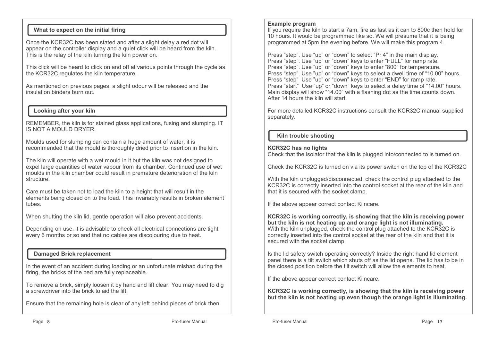# **What to expect on the initial firing**

Once the KCR32C has been stated and after a slight delay a red dot will appear on the controller display and a quiet click will be heard from the kiln. This is the relay of the kiln turning the kiln power on.

This click will be heard to click on and off at various points through the cycle as the KCR32C regulates the kiln temperature.

As mentioned on previous pages, a slight odour will be released and the insulation binders burn out.

# **Looking after your kiln**

REMEMBER, the kiln is for stained glass applications, fusing and slumping. IT IS NOT A MOULD DRYER.

Moulds used for slumping can contain a huge amount of water, it is recommended that the mould is thoroughly dried prior to insertion in the kiln.

The kiln will operate with a wet mould in it but the kiln was not designed to expel large quantities of water vapour from its chamber. Continued use of wet moulds in the kiln chamber could result in premature deterioration of the kiln structure.

Care must be taken not to load the kiln to a height that will result in the elements being closed on to the load. This invariably results in broken element tubes.

When shutting the kiln lid, gentle operation will also prevent accidents.

Depending on use, it is advisable to check all electrical connections are tight every 6 months or so and that no cables are discolouring due to heat.

# **Damaged Brick replacement**

In the event of an accident during loading or an unfortunate mishap during the firing, the bricks of the bed are fully replaceable.

To remove a brick, simply loosen it by hand and lift clear. You may need to dig a screwdriver into the brick to aid the lift.

Ensure that the remaining hole is clear of any left behind pieces of brick then

#### **Example program**

 If you require the kiln to start a 7am, fire as fast as it can to 800c then hold for 10 hours. It would be programmed like so. We will presume that it is being programmed at 5pm the evening before. We will make this program 4.

Press "step". Use "up" or "down" to select "Pr 4" in the main display. Press "step". Use "up" or "down" keys to enter "FULL" for ramp rate. Press "step". Use "up" or "down" keys to enter "800" for temperature. Press "step". Use "up" or "down" keys to select a dwell time of "10.00" hours. Press "step" Use "up" or "down" keys to enter "END" for ramp rate. Press "start" Use "up" or "down" keys to select a delay time of "14.00" hours.Main display will show "14.00" with a flashing dot as the time counts down. After 14 hours the kiln will start.

For more detailed KCR32C instructions consult the KCR32C manual supplied separately.

# **Kiln trouble shooting**

### **KCR32C has no lights**

Check that the isolator that the kiln is plugged into/connected to is turned on.

Check the KCR32C is turned on via its power switch on the top of the KCR32C

With the kiln unplugged/disconnected, check the control plug attached to the KCR32C is correctly inserted into the control socket at the rear of the kiln and that it is secured with the socket clamp.

If the above appear correct contact Kilncare.

**KCR32C is working correctly, is showing that the kiln is receiving power but the kiln is not heating up and orange light is not illuminating.** With the kiln unplugged, check the control plug attached to the KCR32C is correctly inserted into the control socket at the rear of the kiln and that it is secured with the socket clamp.

Is the lid safety switch operating correctly? Inside the right hand lid element panel there is a tilt switch which shuts off as the lid opens. The lid has to be in the closed position before the tilt switch will allow the elements to heat.

If the above appear correct contact Kilncare.

**KCR32C is working correctly, is showing that the kiln is receiving power but the kiln is not heating up even though the orange light is illuminating.**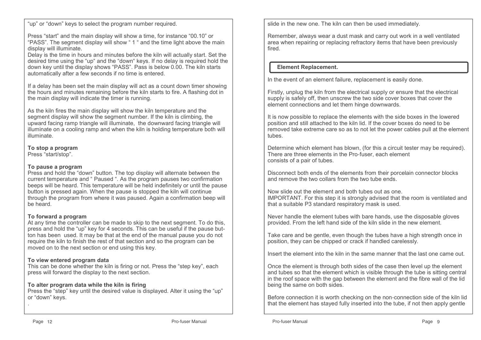"up" or "down" keys to select the program number required.

Press "start" and the main display will show a time, for instance "00.10" or "PASS". The segment display will show " 1 " and the time light above the main display will illuminate.

 Delay is the time in hours and minutes before the kiln will actually start. Set the desired time using the "up" and the "down" keys. If no delay is required hold the down key until the display shows "PASS". Pass is below 0.00. The kiln starts automatically after a few seconds if no time is entered.

If a delay has been set the main display will act as a count down timer showing the hours and minutes remaining before the kiln starts to fire. A flashing dot in the main display will indicate the timer is running.

As the kiln fires the main display will show the kiln temperature and the segment display will show the segment number. If the kiln is climbing, the upward facing ramp triangle will illuminate, the downward facing triangle will illuminate on a cooling ramp and when the kiln is holding temperature both will illuminate.

**To stop a program**

Press "start/stop".

# **To pause a program**

 Press and hold the "down" button. The top display will alternate between the current temperature and " Paused ". As the program pauses two confirmation beeps will be heard. This temperature will be held indefinitely or until the pause button is pressed again. When the pause is stopped the kiln will continue through the program from where it was paused. Again a confirmation beep will be heard.

# **To forward a program**

 At any time the controller can be made to skip to the next segment. To do this, press and hold the "up" key for 4 seconds. This can be useful if the pause button has been used. It may be that at the end of the manual pause you do not require the kiln to finish the rest of that section and so the program can be moved on to the next section or end using this key.

# **To view entered program data**

 This can be done whether the kiln is firing or not. Press the "step key", each press will forward the display to the next section.

# **To alter program data while the kiln is firing**

 Press the "step" key until the desired value is displayed. Alter it using the "up" or "down" keys.

slide in the new one. The kiln can then be used immediately.

Remember, always wear a dust mask and carry out work in a well ventilated area when repairing or replacing refractory items that have been previously fired.

# **Element Replacement.**

In the event of an element failure, replacement is easily done.

Firstly, unplug the kiln from the electrical supply or ensure that the electrical supply is safely off, then unscrew the two side cover boxes that cover the element connections and let them hinge downwards.

It is now possible to replace the elements with the side boxes in the lowered position and still attached to the kiln lid. If the cover boxes do need to be removed take extreme care so as to not let the power cables pull at the element tubes.

Determine which element has blown, (for this a circuit tester may be required). There are three elements in the Pro-fuser, each element consists of a pair of tubes.

Disconnect both ends of the elements from their porcelain connector blocks and remove the two collars from the two tube ends.

Now slide out the element and both tubes out as one. IMPORTANT. For this step it is strongly advised that the room is ventilated and that a suitable P3 standard respiratory mask is used.

Never handle the element tubes with bare hands, use the disposable gloves provided. From the left hand side of the kiln slide in the new element.

Take care and be gentle, even though the tubes have a high strength once in position, they can be chipped or crack if handled carelessly.

Insert the element into the kiln in the same manner that the last one came out.

Once the element is through both sides of the case then level up the element and tubes so that the element which is visible through the tube is sitting central in the roof space with the gap between the element and the fibre wall of the lid being the same on both sides.

Before connection it is worth checking on the non-connection side of the kiln lid that the element has stayed fully inserted into the tube, if not then apply gentle